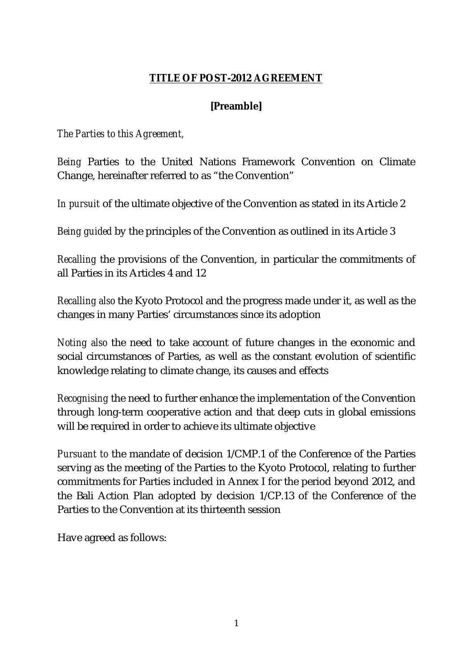### **TITLE OF POST-2012 AGREEMENT**

# **[Preamble]**

*The Parties to this Agreement,* 

*Being* Parties to the United Nations Framework Convention on Climate Change, hereinafter referred to as "the Convention"

*In pursuit* of the ultimate objective of the Convention as stated in its Article 2

*Being guided* by the principles of the Convention as outlined in its Article 3

*Recalling* the provisions of the Convention, in particular the commitments of all Parties in its Articles 4 and 12

*Recalling also* the Kyoto Protocol and the progress made under it, as well as the changes in many Parties' circumstances since its adoption

*Noting also* the need to take account of future changes in the economic and social circumstances of Parties, as well as the constant evolution of scientific knowledge relating to climate change, its causes and effects

*Recognising* the need to further enhance the implementation of the Convention through long-term cooperative action and that deep cuts in global emissions will be required in order to achieve its ultimate objective

*Pursuant to* the mandate of decision 1/CMP.1 of the Conference of the Parties serving as the meeting of the Parties to the Kyoto Protocol, relating to further commitments for Parties included in Annex I for the period beyond 2012, and the Bali Action Plan adopted by decision 1/CP.13 of the Conference of the Parties to the Convention at its thirteenth session

Have agreed as follows: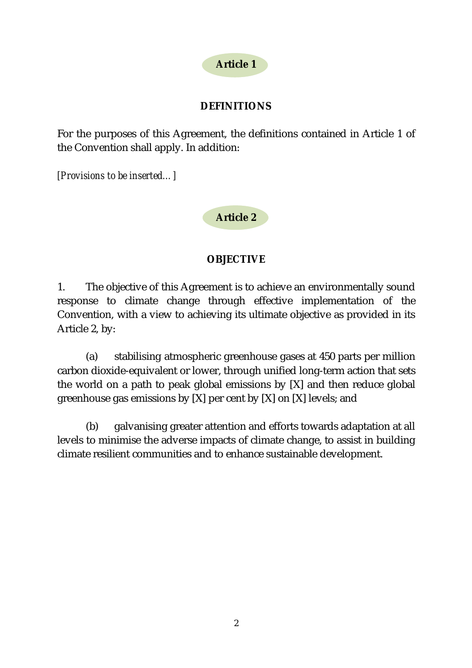

## **DEFINITIONS**

For the purposes of this Agreement, the definitions contained in Article 1 of the Convention shall apply. In addition:

*[Provisions to be inserted…]*

**Article 2** 

### **OBJECTIVE**

1. The objective of this Agreement is to achieve an environmentally sound response to climate change through effective implementation of the Convention, with a view to achieving its ultimate objective as provided in its Article 2, by:

(a) stabilising atmospheric greenhouse gases at 450 parts per million carbon dioxide-equivalent or lower, through unified long-term action that sets the world on a path to peak global emissions by [X] and then reduce global greenhouse gas emissions by  $[X]$  per cent by  $[X]$  on  $[X]$  levels; and

(b) galvanising greater attention and efforts towards adaptation at all levels to minimise the adverse impacts of climate change, to assist in building climate resilient communities and to enhance sustainable development.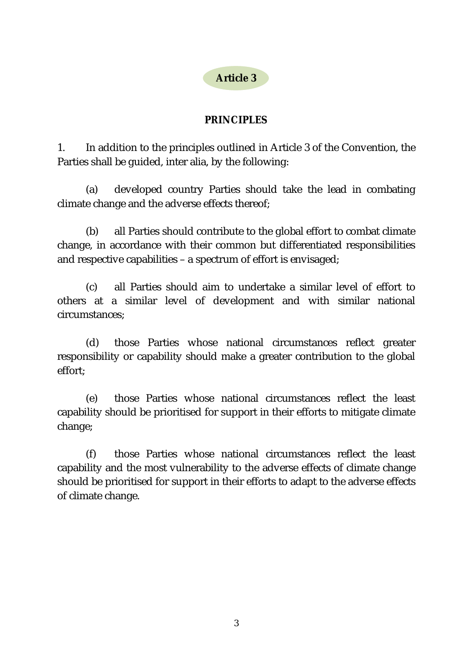**Article 3** 

### **PRINCIPLES**

1. In addition to the principles outlined in Article 3 of the Convention, the Parties shall be guided, inter alia, by the following:

(a) developed country Parties should take the lead in combating climate change and the adverse effects thereof;

(b) all Parties should contribute to the global effort to combat climate change, in accordance with their common but differentiated responsibilities and respective capabilities – a spectrum of effort is envisaged;

(c) all Parties should aim to undertake a similar level of effort to others at a similar level of development and with similar national circumstances;

(d) those Parties whose national circumstances reflect greater responsibility or capability should make a greater contribution to the global effort;

(e) those Parties whose national circumstances reflect the least capability should be prioritised for support in their efforts to mitigate climate change;

(f) those Parties whose national circumstances reflect the least capability and the most vulnerability to the adverse effects of climate change should be prioritised for support in their efforts to adapt to the adverse effects of climate change.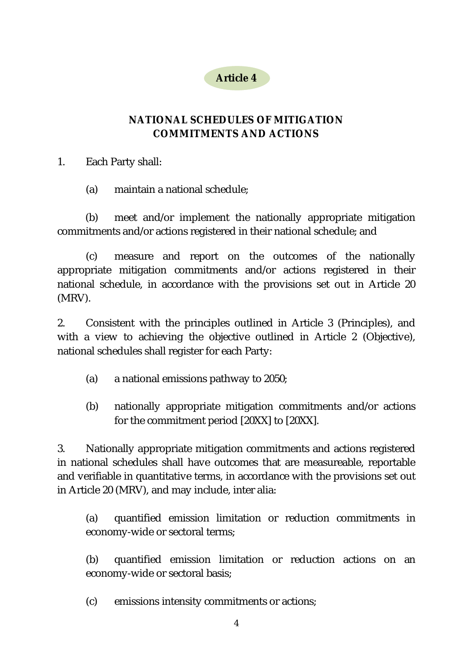

# **NATIONAL SCHEDULES OF MITIGATION COMMITMENTS AND ACTIONS**

1. Each Party shall:

(a) maintain a national schedule;

(b) meet and/or implement the nationally appropriate mitigation commitments and/or actions registered in their national schedule; and

(c) measure and report on the outcomes of the nationally appropriate mitigation commitments and/or actions registered in their national schedule, in accordance with the provisions set out in Article 20 (MRV).

2. Consistent with the principles outlined in Article 3 (Principles), and with a view to achieving the objective outlined in Article 2 (Objective), national schedules shall register for each Party:

- (a) a national emissions pathway to 2050;
- (b) nationally appropriate mitigation commitments and/or actions for the commitment period [20XX] to [20XX].

3. Nationally appropriate mitigation commitments and actions registered in national schedules shall have outcomes that are measureable, reportable and verifiable in quantitative terms, in accordance with the provisions set out in Article 20 (MRV), and may include, inter alia:

(a) quantified emission limitation or reduction commitments in economy-wide or sectoral terms;

(b) quantified emission limitation or reduction actions on an economy-wide or sectoral basis;

(c) emissions intensity commitments or actions;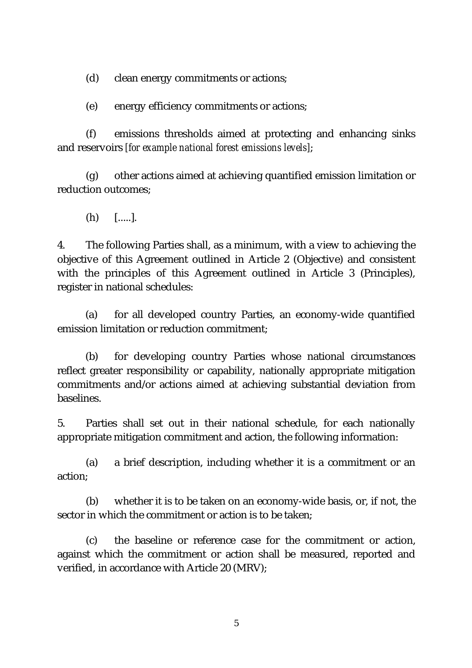(d) clean energy commitments or actions;

(e) energy efficiency commitments or actions;

 (f) emissions thresholds aimed at protecting and enhancing sinks and reservoirs *[for example national forest emissions levels]*;

 (g) other actions aimed at achieving quantified emission limitation or reduction outcomes;

(h) [.....].

4. The following Parties shall, as a minimum, with a view to achieving the objective of this Agreement outlined in Article 2 (Objective) and consistent with the principles of this Agreement outlined in Article 3 (Principles), register in national schedules:

(a) for all developed country Parties, an economy-wide quantified emission limitation or reduction commitment;

(b) for developing country Parties whose national circumstances reflect greater responsibility or capability, nationally appropriate mitigation commitments and/or actions aimed at achieving substantial deviation from baselines.

5. Parties shall set out in their national schedule, for each nationally appropriate mitigation commitment and action, the following information:

(a) a brief description, including whether it is a commitment or an action;

(b) whether it is to be taken on an economy-wide basis, or, if not, the sector in which the commitment or action is to be taken;

(c) the baseline or reference case for the commitment or action, against which the commitment or action shall be measured, reported and verified, in accordance with Article 20 (MRV);

5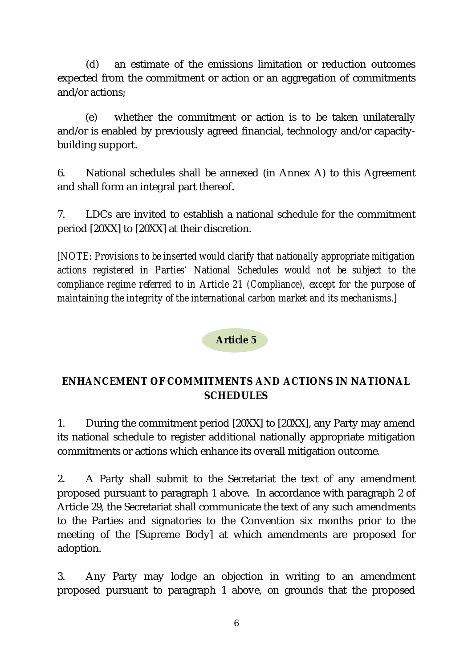(d) an estimate of the emissions limitation or reduction outcomes expected from the commitment or action or an aggregation of commitments and/or actions;

(e) whether the commitment or action is to be taken unilaterally and/or is enabled by previously agreed financial, technology and/or capacitybuilding support.

6. National schedules shall be annexed (in Annex A) to this Agreement and shall form an integral part thereof.

7. LDCs are invited to establish a national schedule for the commitment period [20XX] to [20XX] at their discretion.

*[NOTE: Provisions to be inserted would clarify that nationally appropriate mitigation actions registered in Parties' National Schedules would not be subject to the compliance regime referred to in Article 21 (Compliance), except for the purpose of maintaining the integrity of the international carbon market and its mechanisms.]* 

**Article 5** 

# **ENHANCEMENT OF COMMITMENTS AND ACTIONS IN NATIONAL SCHEDULES**

1. During the commitment period [20XX] to [20XX], any Party may amend its national schedule to register additional nationally appropriate mitigation commitments or actions which enhance its overall mitigation outcome.

2. A Party shall submit to the Secretariat the text of any amendment proposed pursuant to paragraph 1 above. In accordance with paragraph 2 of Article 29, the Secretariat shall communicate the text of any such amendments to the Parties and signatories to the Convention six months prior to the meeting of the [Supreme Body] at which amendments are proposed for adoption.

3. Any Party may lodge an objection in writing to an amendment proposed pursuant to paragraph 1 above, on grounds that the proposed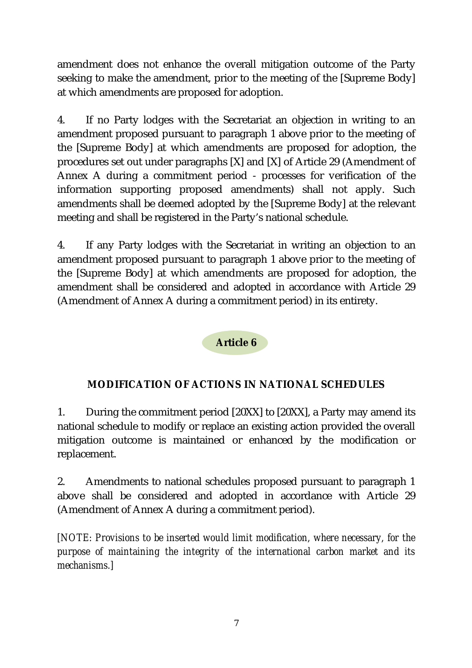amendment does not enhance the overall mitigation outcome of the Party seeking to make the amendment, prior to the meeting of the [Supreme Body] at which amendments are proposed for adoption.

4. If no Party lodges with the Secretariat an objection in writing to an amendment proposed pursuant to paragraph 1 above prior to the meeting of the [Supreme Body] at which amendments are proposed for adoption, the procedures set out under paragraphs [X] and [X] of Article 29 (Amendment of Annex A during a commitment period - processes for verification of the information supporting proposed amendments) shall not apply. Such amendments shall be deemed adopted by the [Supreme Body] at the relevant meeting and shall be registered in the Party's national schedule.

4. If any Party lodges with the Secretariat in writing an objection to an amendment proposed pursuant to paragraph 1 above prior to the meeting of the [Supreme Body] at which amendments are proposed for adoption, the amendment shall be considered and adopted in accordance with Article 29 (Amendment of Annex A during a commitment period) in its entirety.

# **Article 6**

# **MODIFICATION OF ACTIONS IN NATIONAL SCHEDULES**

1. During the commitment period [20XX] to [20XX], a Party may amend its national schedule to modify or replace an existing action provided the overall mitigation outcome is maintained or enhanced by the modification or replacement.

2. Amendments to national schedules proposed pursuant to paragraph 1 above shall be considered and adopted in accordance with Article 29 (Amendment of Annex A during a commitment period).

*[NOTE: Provisions to be inserted would limit modification, where necessary, for the purpose of maintaining the integrity of the international carbon market and its mechanisms.]*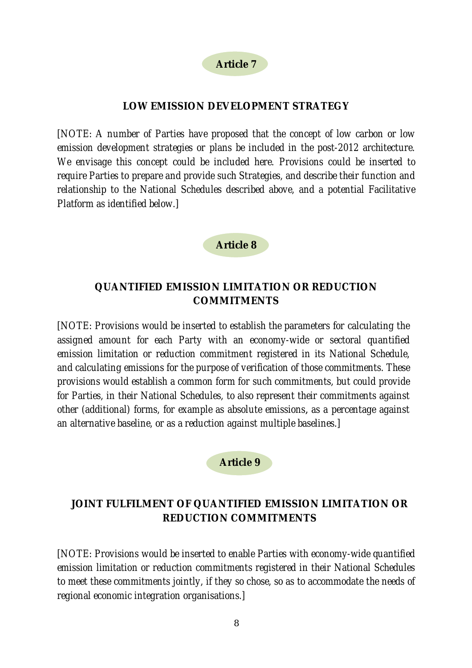### **LOW EMISSION DEVELOPMENT STRATEGY**

*[NOTE: A number of Parties have proposed that the concept of low carbon or low emission development strategies or plans be included in the post-2012 architecture. We envisage this concept could be included here. Provisions could be inserted to require Parties to prepare and provide such Strategies, and describe their function and relationship to the National Schedules described above, and a potential Facilitative Platform as identified below.]* 

**Article 8** 

# **QUANTIFIED EMISSION LIMITATION OR REDUCTION COMMITMENTS**

*[NOTE: Provisions would be inserted to establish the parameters for calculating the assigned amount for each Party with an economy-wide or sectoral quantified emission limitation or reduction commitment registered in its National Schedule, and calculating emissions for the purpose of verification of those commitments. These provisions would establish a common form for such commitments, but could provide for Parties, in their National Schedules, to also represent their commitments against other (additional) forms, for example as absolute emissions*, *as a percentage against an alternative baseline, or as a reduction against multiple baselines.]* 



# **JOINT FULFILMENT OF QUANTIFIED EMISSION LIMITATION OR REDUCTION COMMITMENTS**

*[NOTE: Provisions would be inserted to enable Parties with economy-wide quantified emission limitation or reduction commitments registered in their National Schedules to meet these commitments jointly, if they so chose, so as to accommodate the needs of regional economic integration organisations.]*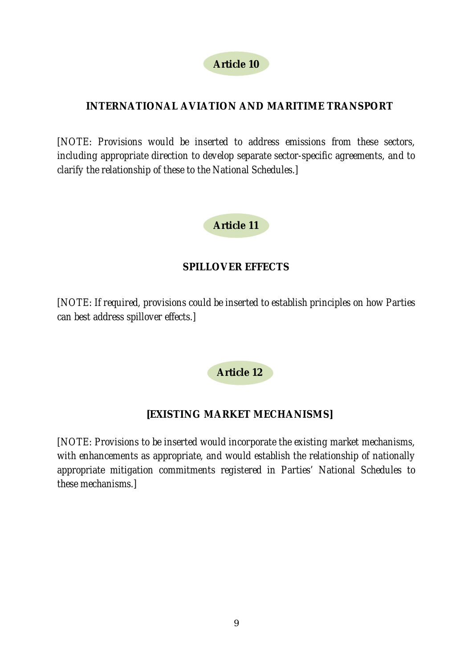# **INTERNATIONAL AVIATION AND MARITIME TRANSPORT**

*[NOTE: Provisions would be inserted to address emissions from these sectors, including appropriate direction to develop separate sector-specific agreements, and to clarify the relationship of these to the National Schedules.]* 



# **SPILLOVER EFFECTS**

*[NOTE: If required, provisions could be inserted to establish principles on how Parties can best address spillover effects.]* 

**Article 12** 

# **[EXISTING MARKET MECHANISMS]**

*[NOTE: Provisions to be inserted would incorporate the existing market mechanisms, with enhancements as appropriate, and would establish the relationship of nationally appropriate mitigation commitments registered in Parties' National Schedules to these mechanisms.]*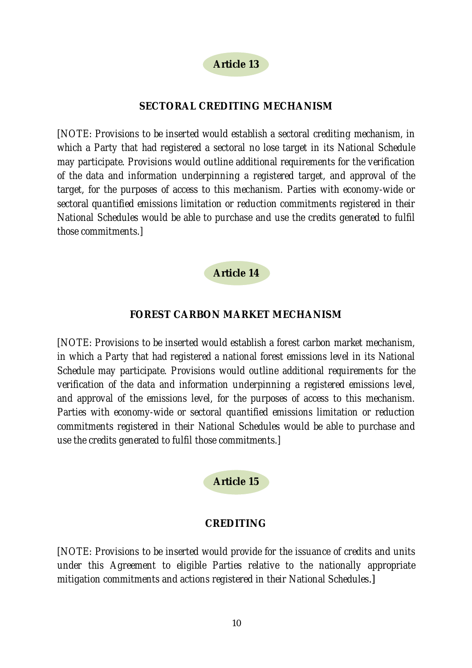**Article 13** 

#### **SECTORAL CREDITING MECHANISM**

*[NOTE: Provisions to be inserted would establish a sectoral crediting mechanism, in which a Party that had registered a sectoral no lose target in its National Schedule may participate. Provisions would outline additional requirements for the verification of the data and information underpinning a registered target, and approval of the target, for the purposes of access to this mechanism. Parties with economy-wide or sectoral quantified emissions limitation or reduction commitments registered in their National Schedules would be able to purchase and use the credits generated to fulfil those commitments.]* 

#### **Article 14**

#### **FOREST CARBON MARKET MECHANISM**

*[NOTE: Provisions to be inserted would establish a forest carbon market mechanism, in which a Party that had registered a national forest emissions level in its National Schedule may participate. Provisions would outline additional requirements for the verification of the data and information underpinning a registered emissions level, and approval of the emissions level, for the purposes of access to this mechanism. Parties with economy-wide or sectoral quantified emissions limitation or reduction commitments registered in their National Schedules would be able to purchase and use the credits generated to fulfil those commitments.]* 

#### **Article 15**

#### **CREDITING**

*[NOTE: Provisions to be inserted would provide for the issuance of credits and units under this Agreement to eligible Parties relative to the nationally appropriate mitigation commitments and actions registered in their National Schedules*.]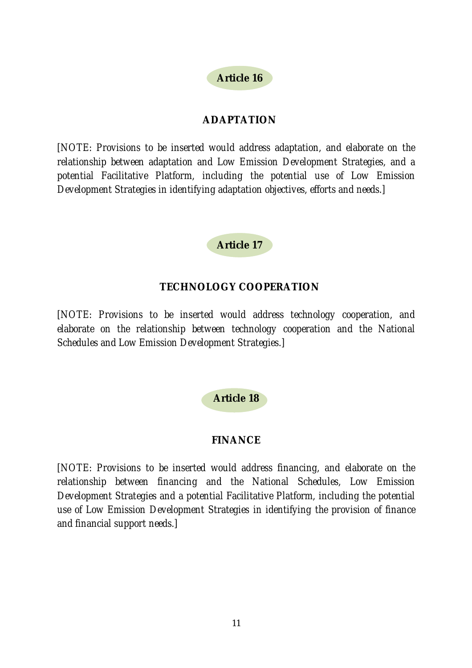

### **ADAPTATION**

*[NOTE: Provisions to be inserted would address adaptation, and elaborate on the relationship between adaptation and Low Emission Development Strategies, and a potential Facilitative Platform, including the potential use of Low Emission Development Strategies in identifying adaptation objectives, efforts and needs.]* 

### **Article 17**

### **TECHNOLOGY COOPERATION**

*[NOTE: Provisions to be inserted would address technology cooperation, and elaborate on the relationship between technology cooperation and the National Schedules and Low Emission Development Strategies.]* 

### **Article 18**

### **FINANCE**

*[NOTE: Provisions to be inserted would address financing, and elaborate on the relationship between financing and the National Schedules, Low Emission Development Strategies and a potential Facilitative Platform, including the potential use of Low Emission Development Strategies in identifying the provision of finance and financial support needs.]*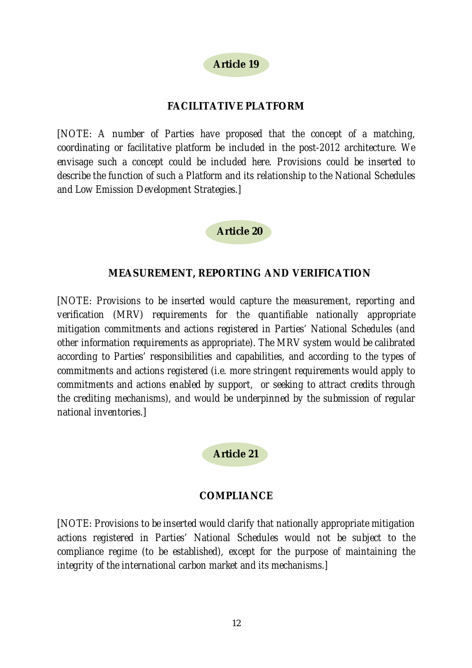# **Article 19**

### **FACILITATIVE PLATFORM**

*[NOTE: A number of Parties have proposed that the concept of a matching, coordinating or facilitative platform be included in the post-2012 architecture. We envisage such a concept could be included here. Provisions could be inserted to describe the function of such a Platform and its relationship to the National Schedules and Low Emission Development Strategies.]* 

#### **Article 20**

#### **MEASUREMENT, REPORTING AND VERIFICATION**

*[NOTE: Provisions to be inserted would capture the measurement, reporting and verification (MRV) requirements for the quantifiable nationally appropriate mitigation commitments and actions registered in Parties' National Schedules (and other information requirements as appropriate). The MRV system would be calibrated according to Parties' responsibilities and capabilities, and according to the types of commitments and actions registered (i.e. more stringent requirements would apply to commitments and actions enabled by support, or seeking to attract credits through the crediting mechanisms), and would be underpinned by the submission of regular national inventories.]* 

#### **Article 21**

#### **COMPLIANCE**

*[NOTE: Provisions to be inserted would clarify that nationally appropriate mitigation actions registered in Parties' National Schedules would not be subject to the compliance regime (to be established), except for the purpose of maintaining the integrity of the international carbon market and its mechanisms.]*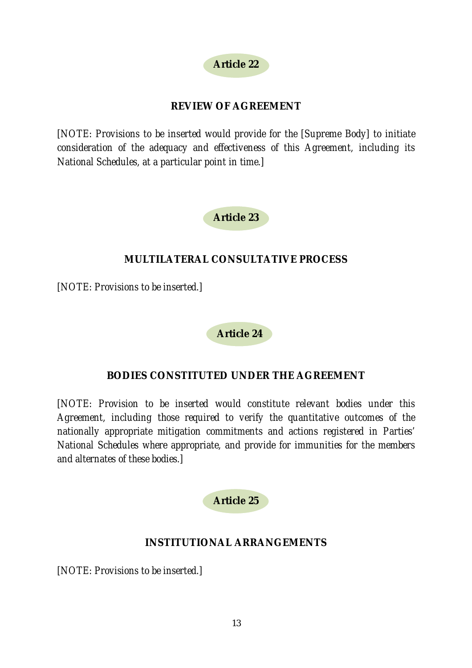### **REVIEW OF AGREEMENT**

*[NOTE: Provisions to be inserted would provide for the [Supreme Body] to initiate consideration of the adequacy and effectiveness of this Agreement, including its National Schedules, at a particular point in time.]* 



### **MULTILATERAL CONSULTATIVE PROCESS**

*[NOTE: Provisions to be inserted.]* 

**Article 24** 

### **BODIES CONSTITUTED UNDER THE AGREEMENT**

*[NOTE: Provision to be inserted would constitute relevant bodies under this Agreement, including those required to verify the quantitative outcomes of the nationally appropriate mitigation commitments and actions registered in Parties' National Schedules where appropriate, and provide for immunities for the members and alternates of these bodies.]*

**Article 25** 

### **INSTITUTIONAL ARRANGEMENTS**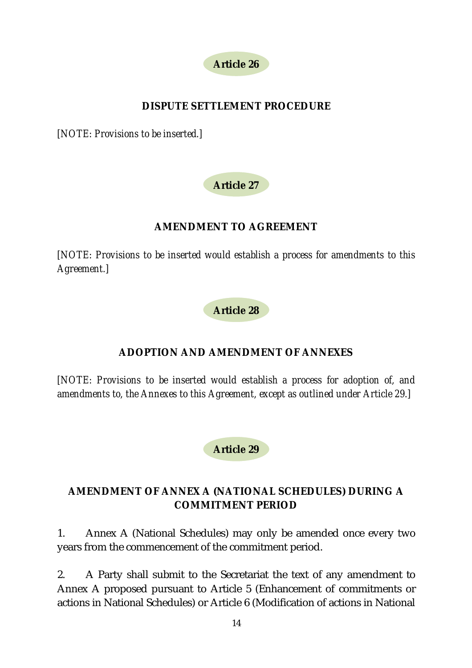

## **DISPUTE SETTLEMENT PROCEDURE**

*[NOTE: Provisions to be inserted.]* 

# **Article 27**

### **AMENDMENT TO AGREEMENT**

*[NOTE: Provisions to be inserted would establish a process for amendments to this Agreement.]* 

**Article 28** 

# **ADOPTION AND AMENDMENT OF ANNEXES**

*[NOTE: Provisions to be inserted would establish a process for adoption of, and amendments to, the Annexes to this Agreement, except as outlined under Article 29.]* 

**Article 29** 

# **AMENDMENT OF ANNEX A (NATIONAL SCHEDULES) DURING A COMMITMENT PERIOD**

1. Annex A (National Schedules) may only be amended once every two years from the commencement of the commitment period.

2. A Party shall submit to the Secretariat the text of any amendment to Annex A proposed pursuant to Article 5 (Enhancement of commitments or actions in National Schedules) or Article 6 (Modification of actions in National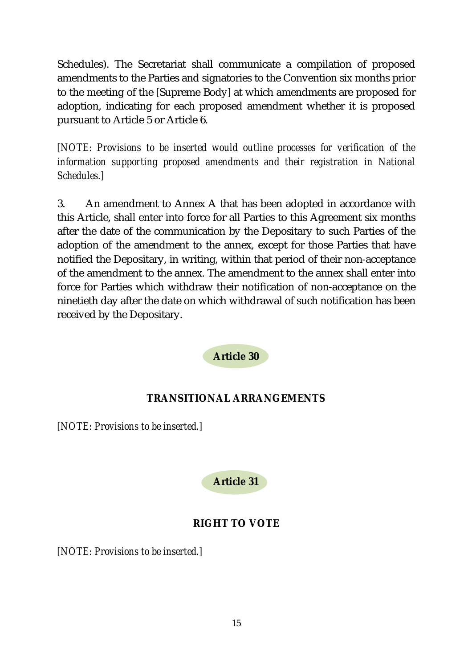Schedules). The Secretariat shall communicate a compilation of proposed amendments to the Parties and signatories to the Convention six months prior to the meeting of the [Supreme Body] at which amendments are proposed for adoption, indicating for each proposed amendment whether it is proposed pursuant to Article 5 or Article 6.

*[NOTE: Provisions to be inserted would outline processes for verification of the information supporting proposed amendments and their registration in National Schedules.]* 

3. An amendment to Annex A that has been adopted in accordance with this Article, shall enter into force for all Parties to this Agreement six months after the date of the communication by the Depositary to such Parties of the adoption of the amendment to the annex, except for those Parties that have notified the Depositary, in writing, within that period of their non-acceptance of the amendment to the annex. The amendment to the annex shall enter into force for Parties which withdraw their notification of non-acceptance on the ninetieth day after the date on which withdrawal of such notification has been received by the Depositary.

**Article 30** 

### **TRANSITIONAL ARRANGEMENTS**

*[NOTE: Provisions to be inserted.]* 



### **RIGHT TO VOTE**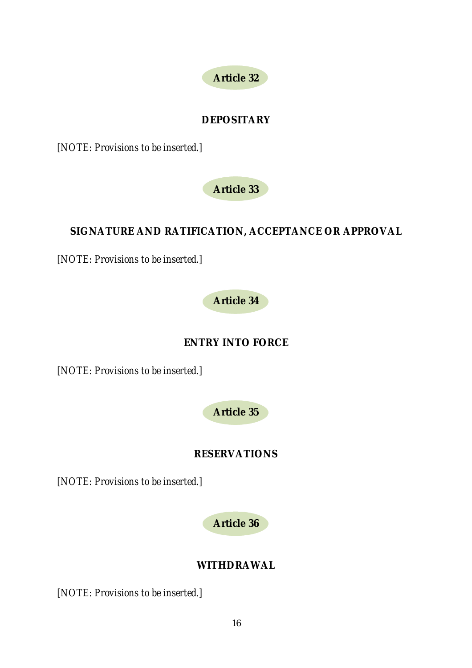

### **DEPOSITARY**

*[NOTE: Provisions to be inserted.]* 

**Article 33** 

# **SIGNATURE AND RATIFICATION, ACCEPTANCE OR APPROVAL**

*[NOTE: Provisions to be inserted.]* 

**Article 34** 

**ENTRY INTO FORCE** 

*[NOTE: Provisions to be inserted.]* 

**Article 35** 

### **RESERVATIONS**

*[NOTE: Provisions to be inserted.]* 

**Article 36** 

### **WITHDRAWAL**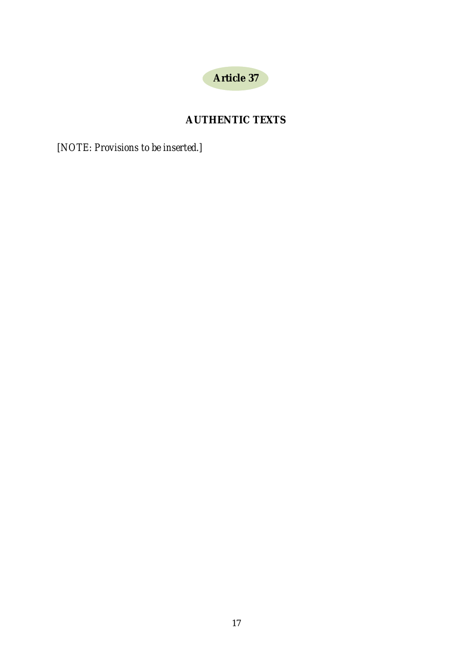

# **AUTHENTIC TEXTS**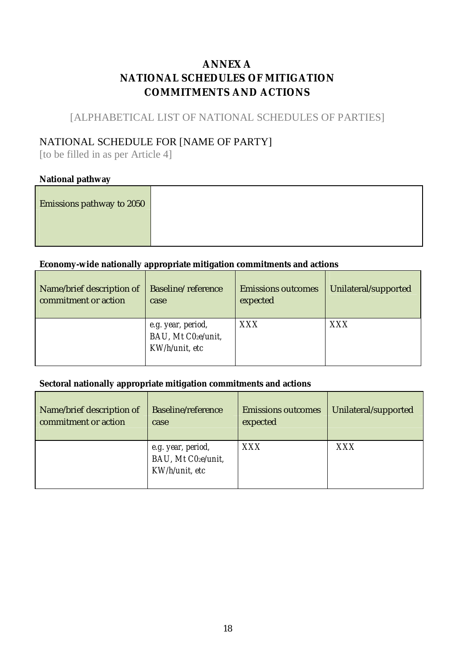# **ANNEX A NATIONAL SCHEDULES OF MITIGATION COMMITMENTS AND ACTIONS**

### [ALPHABETICAL LIST OF NATIONAL SCHEDULES OF PARTIES]

### NATIONAL SCHEDULE FOR [NAME OF PARTY]

[to be filled in as per Article 4]

#### **National pathway**

| Emissions pathway to 2050 |  |
|---------------------------|--|
|                           |  |

### **Economy-wide nationally appropriate mitigation commitments and actions**

| Name/brief description of | <b>Baseline/reference</b>                                  | <b>Emissions outcomes</b> | Unilateral/supported |
|---------------------------|------------------------------------------------------------|---------------------------|----------------------|
| commitment or action      | case                                                       | expected                  |                      |
|                           | e.g. year, period,<br>BAU, Mt C02e/unit,<br>KW/h/unit, etc | XXX                       | XXX                  |

#### **Sectoral nationally appropriate mitigation commitments and actions**

| Name/brief description of | <b>Baseline/reference</b>                                  | <b>Emissions outcomes</b> | Unilateral/supported |
|---------------------------|------------------------------------------------------------|---------------------------|----------------------|
| commitment or action      | case                                                       | expected                  |                      |
|                           | e.g. year, period,<br>BAU, Mt C02e/unit,<br>KW/h/unit, etc | XXX                       | XXX                  |